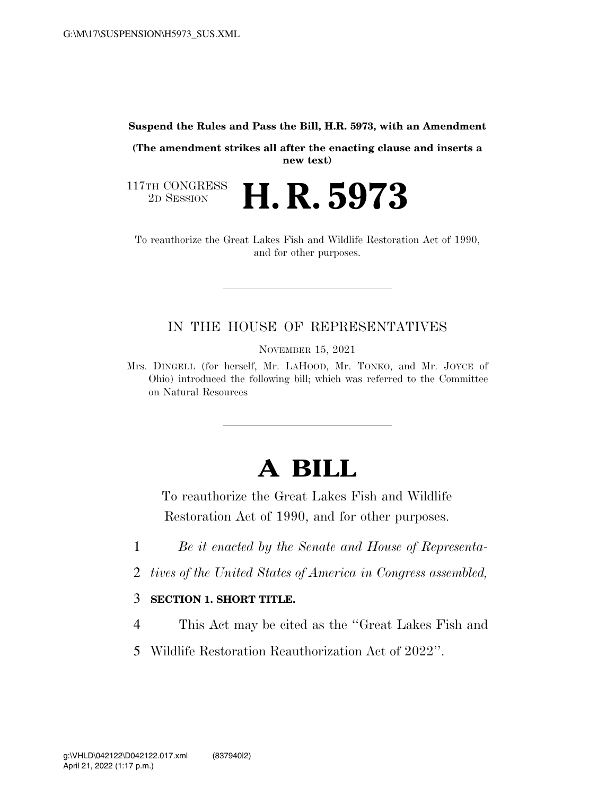**Suspend the Rules and Pass the Bill, H.R. 5973, with an Amendment** 

**(The amendment strikes all after the enacting clause and inserts a new text)** 

117TH CONGRESS<br>2D SESSION 2D SESSION **H. R. 5973** 

To reauthorize the Great Lakes Fish and Wildlife Restoration Act of 1990, and for other purposes.

## IN THE HOUSE OF REPRESENTATIVES

NOVEMBER 15, 2021

Mrs. DINGELL (for herself, Mr. LAHOOD, Mr. TONKO, and Mr. JOYCE of Ohio) introduced the following bill; which was referred to the Committee on Natural Resources

## **A BILL**

To reauthorize the Great Lakes Fish and Wildlife Restoration Act of 1990, and for other purposes.

- 1 *Be it enacted by the Senate and House of Representa-*
- 2 *tives of the United States of America in Congress assembled,*

## 3 **SECTION 1. SHORT TITLE.**

- 4 This Act may be cited as the ''Great Lakes Fish and
- 5 Wildlife Restoration Reauthorization Act of 2022''.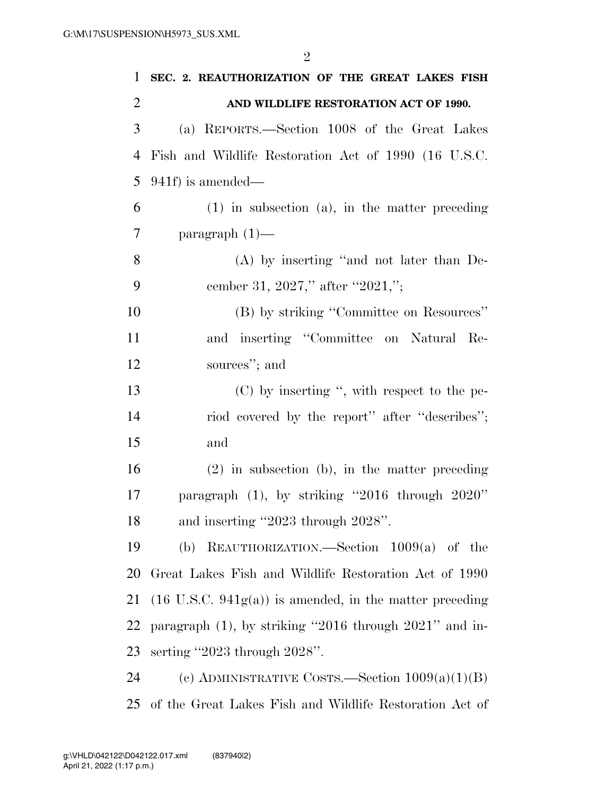| 1              | SEC. 2. REAUTHORIZATION OF THE GREAT LAKES FISH                    |
|----------------|--------------------------------------------------------------------|
| $\overline{2}$ | AND WILDLIFE RESTORATION ACT OF 1990.                              |
| 3              | (a) REPORTS.—Section 1008 of the Great Lakes                       |
| 4              | Fish and Wildlife Restoration Act of 1990 (16 U.S.C.               |
| 5              | $941f$ ) is amended—                                               |
| 6              | $(1)$ in subsection $(a)$ , in the matter preceding                |
| 7              | paragraph $(1)$ —                                                  |
| 8              | $(A)$ by inserting "and not later than De-                         |
| 9              | cember 31, 2027," after "2021,";                                   |
| 10             | (B) by striking "Committee on Resources"                           |
| 11             | and inserting "Committee on Natural Re-                            |
| 12             | sources"; and                                                      |
| 13             | $(C)$ by inserting ", with respect to the pe-                      |
| 14             | riod covered by the report" after "describes";                     |
| 15             | and                                                                |
| 16             | $(2)$ in subsection (b), in the matter preceding                   |
| 17             | paragraph $(1)$ , by striking "2016 through 2020"                  |
| 18             | and inserting "2023 through 2028".                                 |
| 19             | (b) REAUTHORIZATION.—Section $1009(a)$ of the                      |
| 20             | Great Lakes Fish and Wildlife Restoration Act of 1990              |
| 21             | $(16 \text{ U.S.C. } 941g(a))$ is amended, in the matter preceding |
| 22             | paragraph $(1)$ , by striking "2016 through 2021" and in-          |
| 23             | serting "2023 through $2028$ ".                                    |
| 24             | (c) ADMINISTRATIVE COSTS.—Section $1009(a)(1)(B)$                  |
| 25             | of the Great Lakes Fish and Wildlife Restoration Act of            |